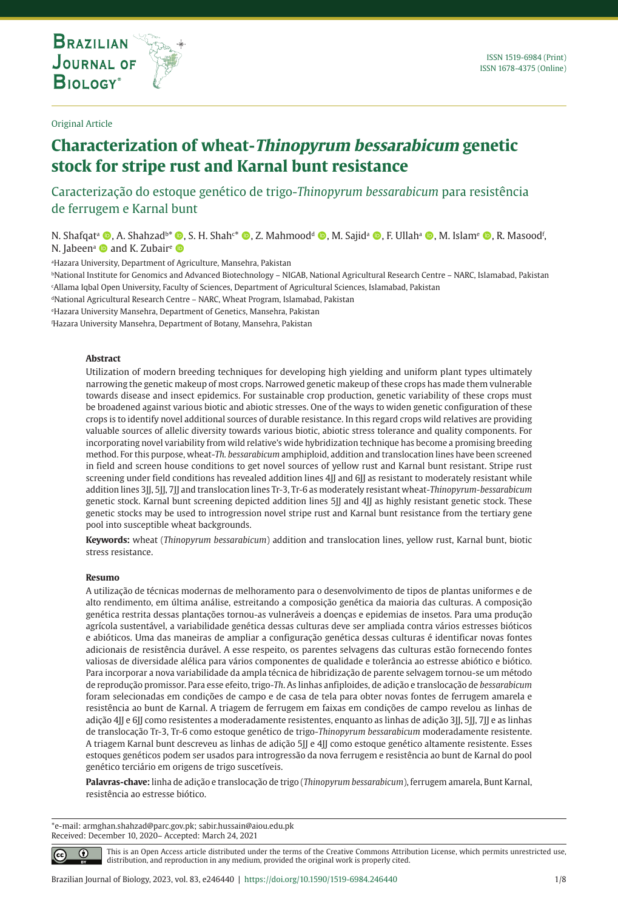**THE INTERNATIONAL JOURNAL ON GLOBAL BIODIVERSITY AND ENVIRONMENT**

#### Original Article

# **Characterization of wheat-Thinopyrum bessarabicum genetic stock for stripe rust and Karnal bunt resistance**

Caracterização do estoque genético de trigo-*Thinopyrum bessarabicum* para resistência de ferrugem e Karnal bunt

N. Shafqat<sup>a</sup> ©, A. Shahzad<sup>b\*</sup> ©, S. H. Shah<sup>c\*</sup> ©, Z. Mahmood<sup>a</sup> ©, M. Sajidª ©, F. Ullahª ©, M. Islam<sup>e</sup> ©, R. Masood<sup>r</sup>, N. Jabeen<sup>a</sup> and K. Zubair<sup>e</sup>

a Hazara University, Department of Agriculture, Mansehra, Pakistan

bNational Institute for Genomics and Advanced Biotechnology – NIGAB, National Agricultural Research Centre – NARC, Islamabad, Pakistan c Allama Iqbal Open University, Faculty of Sciences, Department of Agricultural Sciences, Islamabad, Pakistan

dNational Agricultural Research Centre – NARC, Wheat Program, Islamabad, Pakistan

e Hazara University Mansehra, Department of Genetics, Mansehra, Pakistan

f Hazara University Mansehra, Department of Botany, Mansehra, Pakistan

## **Abstract**

Utilization of modern breeding techniques for developing high yielding and uniform plant types ultimately narrowing the genetic makeup of most crops. Narrowed genetic makeup of these crops has made them vulnerable towards disease and insect epidemics. For sustainable crop production, genetic variability of these crops must be broadened against various biotic and abiotic stresses. One of the ways to widen genetic configuration of these crops is to identify novel additional sources of durable resistance. In this regard crops wild relatives are providing valuable sources of allelic diversity towards various biotic, abiotic stress tolerance and quality components. For incorporating novel variability from wild relative's wide hybridization technique has become a promising breeding method. For this purpose, wheat-*Th. bessarabicum* amphiploid, addition and translocation lines have been screened in field and screen house conditions to get novel sources of yellow rust and Karnal bunt resistant. Stripe rust screening under field conditions has revealed addition lines 4JJ and 6JJ as resistant to moderately resistant while addition lines 3JJ, 5JJ, 7JJ and translocation lines Tr-3, Tr-6 as moderately resistant wheat-*Thinopyrum-bessarabicum* genetic stock. Karnal bunt screening depicted addition lines 5JJ and 4JJ as highly resistant genetic stock. These genetic stocks may be used to introgression novel stripe rust and Karnal bunt resistance from the tertiary gene pool into susceptible wheat backgrounds.

**Keywords:** wheat (*Thinopyrum bessarabicum*) addition and translocation lines, yellow rust, Karnal bunt, biotic stress resistance.

#### **Resumo**

⋒

A utilização de técnicas modernas de melhoramento para o desenvolvimento de tipos de plantas uniformes e de alto rendimento, em última análise, estreitando a composição genética da maioria das culturas. A composição genética restrita dessas plantações tornou-as vulneráveis a doenças e epidemias de insetos. Para uma produção agrícola sustentável, a variabilidade genética dessas culturas deve ser ampliada contra vários estresses bióticos e abióticos. Uma das maneiras de ampliar a configuração genética dessas culturas é identificar novas fontes adicionais de resistência durável. A esse respeito, os parentes selvagens das culturas estão fornecendo fontes valiosas de diversidade alélica para vários componentes de qualidade e tolerância ao estresse abiótico e biótico. Para incorporar a nova variabilidade da ampla técnica de hibridização de parente selvagem tornou-se um método de reprodução promissor. Para esse efeito, trigo-*Th*. As linhas anfiploides, de adição e translocação de *bessarabicum* foram selecionadas em condições de campo e de casa de tela para obter novas fontes de ferrugem amarela e resistência ao bunt de Karnal. A triagem de ferrugem em faixas em condições de campo revelou as linhas de adição 4JJ e 6JJ como resistentes a moderadamente resistentes, enquanto as linhas de adição 3JJ, 5JJ, 7JJ e as linhas de translocação Tr-3, Tr-6 como estoque genético de trigo-*Thinopyrum bessarabicum* moderadamente resistente. A triagem Karnal bunt descreveu as linhas de adição 5JJ e 4JJ como estoque genético altamente resistente. Esses estoques genéticos podem ser usados para introgressão da nova ferrugem e resistência ao bunt de Karnal do pool genético terciário em origens de trigo suscetíveis.

**Palavras-chave:** linha de adição e translocação de trigo (*Thinopyrum bessarabicum*), ferrugem amarela, Bunt Karnal, resistência ao estresse biótico.

\*e-mail: armghan.shahzad@parc.gov.pk; sabir.hussain@aiou.edu.pk Received: December 10, 2020– Accepted: March 24, 2021

> This is an Open Access article distributed under the terms of the Creative Commons Attribution License, which permits unrestricted use, distribution, and reproduction in any medium, provided the original work is properly cited.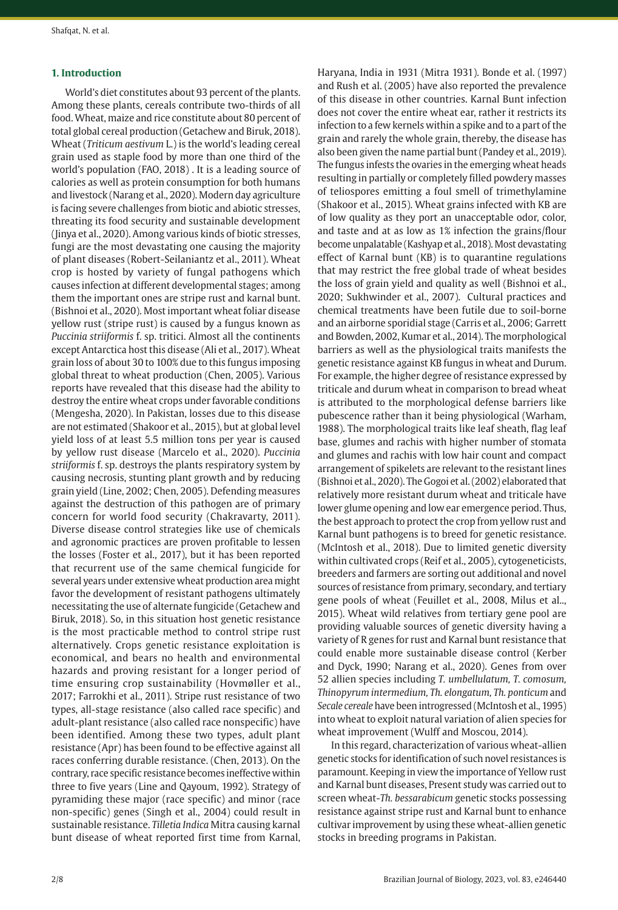#### **1. Introduction**

World's diet constitutes about 93 percent of the plants. Among these plants, cereals contribute two-thirds of all food. Wheat, maize and rice constitute about 80 percent of total global cereal production (Getachew and Biruk, 2018). Wheat (*Triticum aestivum* L.) is the world's leading cereal grain used as staple food by more than one third of the world's population (FAO, 2018) . It is a leading source of calories as well as protein consumption for both humans and livestock (Narang et al., 2020). Modern day agriculture is facing severe challenges from biotic and abiotic stresses, threating its food security and sustainable development (Jinya et al., 2020). Among various kinds of biotic stresses, fungi are the most devastating one causing the majority of plant diseases (Robert-Seilaniantz et al., 2011). Wheat crop is hosted by variety of fungal pathogens which causes infection at different developmental stages; among them the important ones are stripe rust and karnal bunt. (Bishnoi et al., 2020). Most important wheat foliar disease yellow rust (stripe rust) is caused by a fungus known as *Puccinia striiformis* f. sp. tritici. Almost all the continents except Antarctica host this disease (Ali et al., 2017). Wheat grain loss of about 30 to 100% due to this fungus imposing global threat to wheat production (Chen, 2005). Various reports have revealed that this disease had the ability to destroy the entire wheat crops under favorable conditions (Mengesha, 2020). In Pakistan, losses due to this disease are not estimated (Shakoor et al., 2015), but at global level yield loss of at least 5.5 million tons per year is caused by yellow rust disease (Marcelo et al., 2020). *Puccinia striiformis* f. sp. destroys the plants respiratory system by causing necrosis, stunting plant growth and by reducing grain yield (Line, 2002; Chen, 2005). Defending measures against the destruction of this pathogen are of primary concern for world food security (Chakravarty, 2011). Diverse disease control strategies like use of chemicals and agronomic practices are proven profitable to lessen the losses (Foster et al., 2017), but it has been reported that recurrent use of the same chemical fungicide for several years under extensive wheat production area might favor the development of resistant pathogens ultimately necessitating the use of alternate fungicide (Getachew and Biruk, 2018). So, in this situation host genetic resistance is the most practicable method to control stripe rust alternatively. Crops genetic resistance exploitation is economical, and bears no health and environmental hazards and proving resistant for a longer period of time ensuring crop sustainability (Hovmøller et al., 2017; Farrokhi et al., 2011). Stripe rust resistance of two types, all-stage resistance (also called race specific) and adult-plant resistance (also called race nonspecific) have been identified. Among these two types, adult plant resistance (Apr) has been found to be effective against all races conferring durable resistance. (Chen, 2013). On the contrary, race specific resistance becomes ineffective within three to five years (Line and Qayoum, 1992). Strategy of pyramiding these major (race specific) and minor (race non-specific) genes (Singh et al., 2004) could result in sustainable resistance. *Tilletia Indica* Mitra causing karnal bunt disease of wheat reported first time from Karnal,

Haryana, India in 1931 (Mitra 1931). Bonde et al. (1997) and Rush et al. (2005) have also reported the prevalence of this disease in other countries. Karnal Bunt infection does not cover the entire wheat ear, rather it restricts its infection to a few kernels within a spike and to a part of the grain and rarely the whole grain, thereby, the disease has also been given the name partial bunt (Pandey et al., 2019). The fungus infests the ovaries in the emerging wheat heads resulting in partially or completely filled powdery masses of teliospores emitting a foul smell of trimethylamine (Shakoor et al., 2015). Wheat grains infected with KB are of low quality as they port an unacceptable odor, color, and taste and at as low as 1% infection the grains/flour become unpalatable (Kashyap et al., 2018). Most devastating effect of Karnal bunt (KB) is to quarantine regulations that may restrict the free global trade of wheat besides the loss of grain yield and quality as well (Bishnoi et al., 2020; Sukhwinder et al., 2007). Cultural practices and chemical treatments have been futile due to soil-borne and an airborne sporidial stage (Carris et al., 2006; Garrett and Bowden, 2002, Kumar et al., 2014). The morphological barriers as well as the physiological traits manifests the genetic resistance against KB fungus in wheat and Durum. For example, the higher degree of resistance expressed by triticale and durum wheat in comparison to bread wheat is attributed to the morphological defense barriers like pubescence rather than it being physiological (Warham, 1988). The morphological traits like leaf sheath, flag leaf base, glumes and rachis with higher number of stomata and glumes and rachis with low hair count and compact arrangement of spikelets are relevant to the resistant lines (Bishnoi et al., 2020). The Gogoi et al. (2002) elaborated that relatively more resistant durum wheat and triticale have lower glume opening and low ear emergence period. Thus, the best approach to protect the crop from yellow rust and Karnal bunt pathogens is to breed for genetic resistance. (McIntosh et al., 2018). Due to limited genetic diversity within cultivated crops (Reif et al., 2005), cytogeneticists, breeders and farmers are sorting out additional and novel sources of resistance from primary, secondary, and tertiary gene pools of wheat (Feuillet et al., 2008, Milus et al.., 2015). Wheat wild relatives from tertiary gene pool are providing valuable sources of genetic diversity having a variety of R genes for rust and Karnal bunt resistance that could enable more sustainable disease control (Kerber and Dyck, 1990; Narang et al., 2020). Genes from over 52 allien species including *T. umbellulatum, T. comosum, Thinopyrum intermedium, Th. elongatum, Th. ponticum* and *Secale cereale* have been introgressed (McIntosh et al., 1995) into wheat to exploit natural variation of alien species for wheat improvement (Wulff and Moscou, 2014).

In this regard, characterization of various wheat-allien genetic stocks for identification of such novel resistances is paramount. Keeping in view the importance of Yellow rust and Karnal bunt diseases, Present study was carried out to screen wheat-*Th. bessarabicum* genetic stocks possessing resistance against stripe rust and Karnal bunt to enhance cultivar improvement by using these wheat-allien genetic stocks in breeding programs in Pakistan.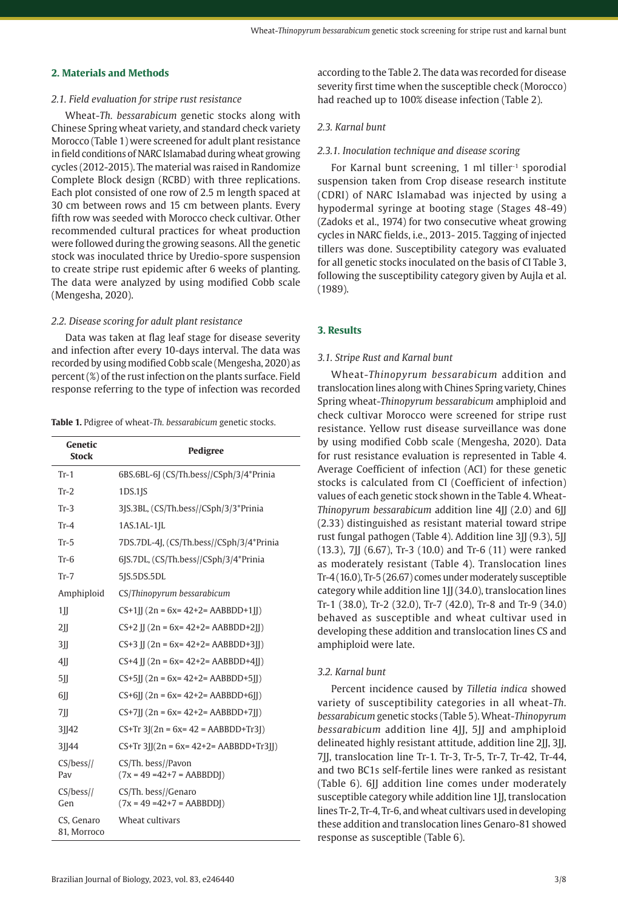# **2. Materials and Methods**

#### *2.1. Field evaluation for stripe rust resistance*

Wheat-*Th. bessarabicum* genetic stocks along with Chinese Spring wheat variety, and standard check variety Morocco (Table 1) were screened for adult plant resistance in field conditions of NARC Islamabad during wheat growing cycles (2012-2015). The material was raised in Randomize Complete Block design (RCBD) with three replications. Each plot consisted of one row of 2.5 m length spaced at 30 cm between rows and 15 cm between plants. Every fifth row was seeded with Morocco check cultivar. Other recommended cultural practices for wheat production were followed during the growing seasons. All the genetic stock was inoculated thrice by Uredio-spore suspension to create stripe rust epidemic after 6 weeks of planting. The data were analyzed by using modified Cobb scale (Mengesha, 2020).

## *2.2. Disease scoring for adult plant resistance*

Data was taken at flag leaf stage for disease severity and infection after every 10-days interval. The data was recorded by using modified Cobb scale (Mengesha, 2020) as percent (%) of the rust infection on the plants surface. Field response referring to the type of infection was recorded

**Table 1.** Pdigree of wheat-*Th. bessarabicum* genetic stocks.

| Genetic<br><b>Stock</b>   | Pedigree                                             |
|---------------------------|------------------------------------------------------|
| $Tr-1$                    | 6BS.6BL-6J (CS/Th.bess//CSph/3/4*Prinia              |
| $Tr-2$                    | $1DS.1$ $ S$                                         |
| $Tr-3$                    | 3JS.3BL, (CS/Th.bess//CSph/3/3*Prinia                |
| $Tr-4$                    | $1AS.1AL-1IL$                                        |
| $Tr-5$                    | 7DS.7DL-4J, (CS/Th.bess//CSph/3/4*Prinia             |
| $Tr-6$                    | 6JS.7DL, (CS/Th.bess//CSph/3/4*Prinia                |
| $Tr-7$                    | 5JS.5DS.5DL                                          |
| Amphiploid                | CS/Thinopyrum bessarabicum                           |
| 1                         | $CS+1$ [[ $(2n = 6x = 42+2 = AABBDD+1$ []            |
| 2II                       | $CS+2$ II (2n = 6x= 42+2= AABBDD+2II)                |
| 3II                       | $CS+3$    $(2n = 6x = 42+2=AABBDD+3$   )             |
| $4$ II                    | $CS+4$    $(2n = 6x = 42+2 = AABBDD+4$   )           |
| $5$ II                    | $CS+5$ [] $(2n = 6x = 42+2=ABBDD+5$ []               |
| 6II                       | $CS+6$ [ $(2n = 6x = 42+2=ABBDD+6$ [ $)$ ]           |
| 7II                       | $CS+7$ II $(2n = 6x = 42+2 = AABBDD+7$ II)           |
| 31142                     | $CS+Tr 3[(2n = 6x = 42 = AABBDD+Tr3])$               |
| 3  44                     | $CS+Tr 3  (2n = 6x = 42+2 = AABBDD+Tr3  )$           |
| $CS/bess$ //<br>Pav       | CS/Th. bess//Pavon<br>$(7x = 49 = 42 + 7 = AABBDD)$  |
| $CS/bess$ //<br>Gen       | CS/Th. bess//Genaro<br>$(7x = 49 = 42 + 7 = AABBDD)$ |
| CS, Genaro<br>81, Morroco | Wheat cultivars                                      |

according to the Table 2. The data was recorded for disease severity first time when the susceptible check (Morocco) had reached up to 100% disease infection (Table 2).

# *2.3. Karnal bunt*

# *2.3.1. Inoculation technique and disease scoring*

For Karnal bunt screening, 1 ml tiller<sup>-1</sup> sporodial suspension taken from Crop disease research institute (CDRI) of NARC Islamabad was injected by using a hypodermal syringe at booting stage (Stages 48-49) (Zadoks et al., 1974) for two consecutive wheat growing cycles in NARC fields, i.e., 2013- 2015. Tagging of injected tillers was done. Susceptibility category was evaluated for all genetic stocks inoculated on the basis of CI Table 3, following the susceptibility category given by Aujla et al. (1989).

# **3. Results**

## *3.1. Stripe Rust and Karnal bunt*

Wheat-*Thinopyrum bessarabicum* addition and translocation lines along with Chines Spring variety, Chines Spring wheat-*Thinopyrum bessarabicum* amphiploid and check cultivar Morocco were screened for stripe rust resistance. Yellow rust disease surveillance was done by using modified Cobb scale (Mengesha, 2020). Data for rust resistance evaluation is represented in Table 4. Average Coefficient of infection (ACI) for these genetic stocks is calculated from CI (Coefficient of infection) values of each genetic stock shown in the Table 4. Wheat-*Thinopyrum bessarabicum* addition line 4JJ (2.0) and 6JJ (2.33) distinguished as resistant material toward stripe rust fungal pathogen (Table 4). Addition line 3JJ (9.3), 5JJ (13.3), 7JJ (6.67), Tr-3 (10.0) and Tr-6 (11) were ranked as moderately resistant (Table 4). Translocation lines Tr-4 (16.0), Tr-5 (26.67) comes under moderately susceptible category while addition line  $1$   $\mid$   $(34.0)$ , translocation lines Tr-1 (38.0), Tr-2 (32.0), Tr-7 (42.0), Tr-8 and Tr-9 (34.0) behaved as susceptible and wheat cultivar used in developing these addition and translocation lines CS and amphiploid were late.

# *3.2. Karnal bunt*

Percent incidence caused by *Tilletia indica* showed variety of susceptibility categories in all wheat-*Th. bessarabicum* genetic stocks (Table 5). Wheat-*Thinopyrum bessarabicum* addition line 4JJ, 5JJ and amphiploid delineated highly resistant attitude, addition line 2II, 3II, 7JJ, translocation line Tr-1. Tr-3, Tr-5, Tr-7, Tr-42, Tr-44, and two BC1s self-fertile lines were ranked as resistant (Table 6). 6JJ addition line comes under moderately susceptible category while addition line 1JJ, translocation lines Tr-2, Tr-4, Tr-6, and wheat cultivars used in developing these addition and translocation lines Genaro-81 showed response as susceptible (Table 6).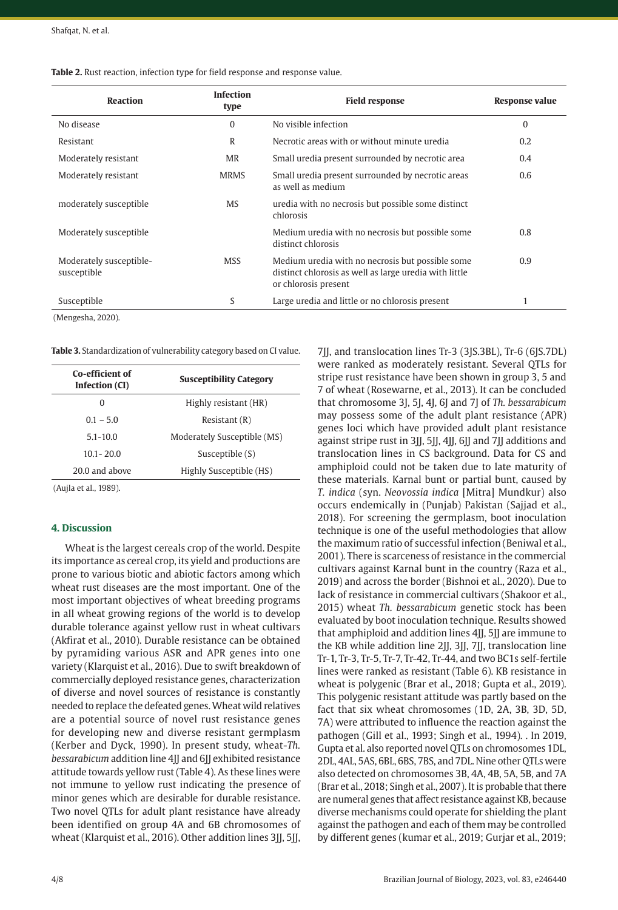| Table 2. Rust reaction, infection type for field response and response value. |
|-------------------------------------------------------------------------------|
|-------------------------------------------------------------------------------|

| <b>Reaction</b>                        | <b>Infection</b><br>type | <b>Field response</b>                                                                                                              | <b>Response value</b> |
|----------------------------------------|--------------------------|------------------------------------------------------------------------------------------------------------------------------------|-----------------------|
| No disease                             | 0                        | No visible infection                                                                                                               | $\Omega$              |
| Resistant                              | R                        | Necrotic areas with or without minute uredia                                                                                       | 0.2                   |
| Moderately resistant                   | <b>MR</b>                | Small uredia present surrounded by necrotic area                                                                                   | 0.4                   |
| Moderately resistant                   | <b>MRMS</b>              | Small uredia present surrounded by necrotic areas<br>as well as medium                                                             | 0.6                   |
| moderately susceptible                 | <b>MS</b>                | uredia with no necrosis but possible some distinct<br>chlorosis                                                                    |                       |
| Moderately susceptible                 |                          | Medium uredia with no necrosis but possible some<br>distinct chlorosis                                                             | 0.8                   |
| Moderately susceptible-<br>susceptible | <b>MSS</b>               | Medium uredia with no necrosis but possible some<br>distinct chlorosis as well as large uredia with little<br>or chlorosis present | 0.9                   |
| Susceptible                            | S                        | Large uredia and little or no chlorosis present                                                                                    |                       |

(Mengesha, 2020).

**Table 3.** Standardization of vulnerability category based on CI value.

| Co-efficient of<br>Infection (CI) | <b>Susceptibility Category</b> |  |  |  |  |
|-----------------------------------|--------------------------------|--|--|--|--|
| O                                 | Highly resistant (HR)          |  |  |  |  |
| $0.1 - 5.0$                       | Resistant(R)                   |  |  |  |  |
| $5.1 - 10.0$                      | Moderately Susceptible (MS)    |  |  |  |  |
| $10.1 - 20.0$                     | Susceptible (S)                |  |  |  |  |
| 20.0 and above                    | Highly Susceptible (HS)        |  |  |  |  |

(Aujla et al., 1989).

## **4. Discussion**

Wheat is the largest cereals crop of the world. Despite its importance as cereal crop, its yield and productions are prone to various biotic and abiotic factors among which wheat rust diseases are the most important. One of the most important objectives of wheat breeding programs in all wheat growing regions of the world is to develop durable tolerance against yellow rust in wheat cultivars (Akfirat et al., 2010). Durable resistance can be obtained by pyramiding various ASR and APR genes into one variety (Klarquist et al., 2016). Due to swift breakdown of commercially deployed resistance genes, characterization of diverse and novel sources of resistance is constantly needed to replace the defeated genes. Wheat wild relatives are a potential source of novel rust resistance genes for developing new and diverse resistant germplasm (Kerber and Dyck, 1990). In present study, wheat-*Th. bessarabicum* addition line 4JJ and 6JJ exhibited resistance attitude towards yellow rust (Table 4). As these lines were not immune to yellow rust indicating the presence of minor genes which are desirable for durable resistance. Two novel QTLs for adult plant resistance have already been identified on group 4A and 6B chromosomes of wheat (Klarquist et al., 2016). Other addition lines 3[J, 5]J,

7JJ, and translocation lines Tr-3 (3JS.3BL), Tr-6 (6JS.7DL) were ranked as moderately resistant. Several QTLs for stripe rust resistance have been shown in group 3, 5 and 7 of wheat (Rosewarne, et al., 2013). It can be concluded that chromosome 3J, 5J, 4J, 6J and 7J of *Th. bessarabicum* may possess some of the adult plant resistance (APR) genes loci which have provided adult plant resistance against stripe rust in 3*JJ*, 5*JJ*, 4*JJ*, 6*JJ* and 7*JJ* additions and translocation lines in CS background. Data for CS and amphiploid could not be taken due to late maturity of these materials. Karnal bunt or partial bunt, caused by *T. indica* (syn. *Neovossia indica* [Mitra] Mundkur) also occurs endemically in (Punjab) Pakistan (Sajjad et al., 2018). For screening the germplasm, boot inoculation technique is one of the useful methodologies that allow the maximum ratio of successful infection (Beniwal et al., 2001). There is scarceness of resistance in the commercial cultivars against Karnal bunt in the country (Raza et al., 2019) and across the border (Bishnoi et al., 2020). Due to lack of resistance in commercial cultivars (Shakoor et al., 2015) wheat *Th. bessarabicum* genetic stock has been evaluated by boot inoculation technique. Results showed that amphiploid and addition lines 4JJ, 5JJ are immune to the KB while addition line 2J, 3J, 7J, translocation line Tr-1, Tr-3, Tr-5, Tr-7, Tr-42, Tr-44, and two BC1s self-fertile lines were ranked as resistant (Table 6). KB resistance in wheat is polygenic (Brar et al., 2018; Gupta et al., 2019). This polygenic resistant attitude was partly based on the fact that six wheat chromosomes (1D, 2A, 3B, 3D, 5D, 7A) were attributed to influence the reaction against the pathogen (Gill et al., 1993; Singh et al., 1994). . In 2019, Gupta et al. also reported novel QTLs on chromosomes 1DL, 2DL, 4AL, 5AS, 6BL, 6BS, 7BS, and 7DL. Nine other QTLs were also detected on chromosomes 3B, 4A, 4B, 5A, 5B, and 7A (Brar et al., 2018; Singh et al., 2007). It is probable that there are numeral genes that affect resistance against KB, because diverse mechanisms could operate for shielding the plant against the pathogen and each of them may be controlled by different genes (kumar et al., 2019; Gurjar et al., 2019;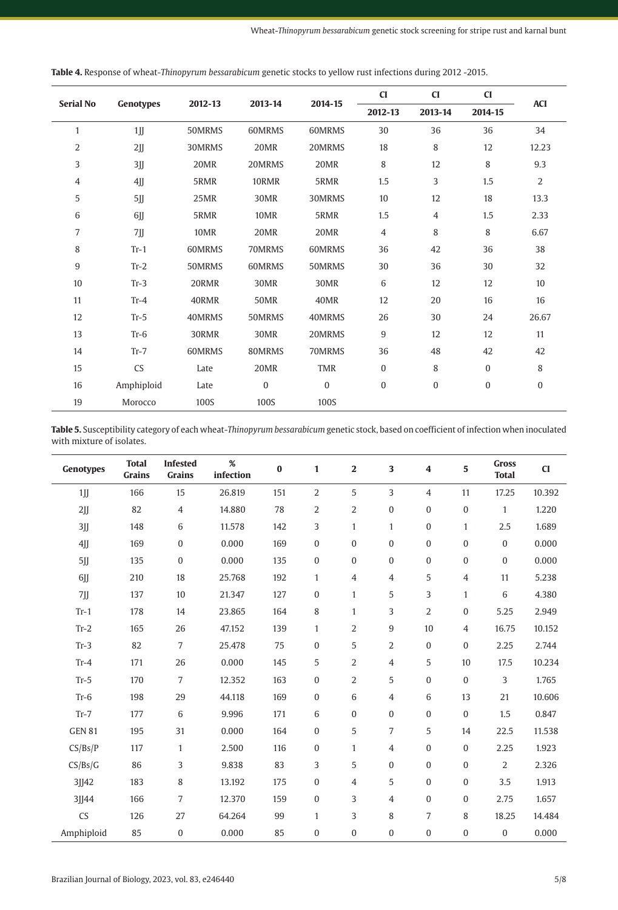| <b>Serial No</b><br>Genotypes |            | 2012-13 | 2013-14     | 2014-15    | CI             | CI             | CI           | <b>ACI</b>     |  |
|-------------------------------|------------|---------|-------------|------------|----------------|----------------|--------------|----------------|--|
|                               |            |         |             |            | 2012-13        | 2013-14        | 2014-15      |                |  |
| $\mathbf{1}$                  | 1          | 50MRMS  | 60MRMS      | 60MRMS     | 30             | 36             | 36           | 34             |  |
| 2                             | 2JJ        | 30MRMS  | 20MR        | 20MRMS     | 18             | 8              | 12           | 12.23          |  |
| 3                             | 3JJ        | 20MR    | 20MRMS      | 20MR       | 8              | 12             | 8            | 9.3            |  |
| $\overline{4}$                | 4JJ        | 5RMR    | 10RMR       | 5RMR       | 1.5            | 3              | 1.5          | $\overline{2}$ |  |
| 5                             | 5jj        | 25MR    | 30MR        | 30MRMS     | 10             | 12             | 18           | 13.3           |  |
| 6                             | 6JJ        | 5RMR    | 10MR        | 5RMR       | 1.5            | $\overline{4}$ | 1.5          | 2.33           |  |
| 7                             | 7JJ        | 10MR    | 20MR        | 20MR       | 4              | 8              | 8            | 6.67           |  |
| 8                             | $Tr-1$     | 60MRMS  | 70MRMS      | 60MRMS     | 36             | 42             | 36           | 38             |  |
| 9                             | $Tr-2$     | 50MRMS  | 60MRMS      | 50MRMS     | 30             | 36             | 30           | 32             |  |
| 10                            | $Tr-3$     | 20RMR   | 30MR        | 30MR       | 6              | 12             | 12           | 10             |  |
| 11                            | $Tr-4$     | 40RMR   | <b>50MR</b> | 40MR       | 12             | 20             | 16           | 16             |  |
| 12                            | $Tr-5$     | 40MRMS  | 50MRMS      | 40MRMS     | 26             | 30             | 24           | 26.67          |  |
| 13                            | $Tr-6$     | 30RMR   | 30MR        | 20MRMS     | 9              | 12             | 12           | 11             |  |
| 14                            | $Tr-7$     | 60MRMS  | 80MRMS      | 70MRMS     | 36             | 48             | 42           | 42             |  |
| 15                            | <b>CS</b>  | Late    | 20MR        | <b>TMR</b> | 0              | 8              | $\mathbf{0}$ | 8              |  |
| 16                            | Amphiploid | Late    | 0           | $\bf{0}$   | $\overline{0}$ | $\mathbf{0}$   | $\mathbf{0}$ | $\mathbf{0}$   |  |
| 19                            | Morocco    | 100S    | 100S        | 100S       |                |                |              |                |  |

**Table 4.** Response of wheat-*Thinopyrum bessarabicum* genetic stocks to yellow rust infections during 2012 -2015.

**Table 5.** Susceptibility category of each wheat-*Thinopyrum bessarabicum* genetic stock, based on coefficient of infection when inoculated with mixture of isolates.

| Genotypes     | <b>Total</b><br><b>Grains</b> | <b>Infested</b><br>Grains | %<br>infection | $\bf{0}$ | $\mathbf{1}$     | $\mathbf 2$      | $\overline{\mathbf{3}}$ | 4                | 5                | <b>Gross</b><br><b>Total</b> | CI     |
|---------------|-------------------------------|---------------------------|----------------|----------|------------------|------------------|-------------------------|------------------|------------------|------------------------------|--------|
| 1             | 166                           | 15                        | 26.819         | 151      | $\overline{2}$   | 5                | 3                       | $\overline{4}$   | 11               | 17.25                        | 10.392 |
| 2JJ           | 82                            | $\sqrt{4}$                | 14.880         | 78       | $\overline{2}$   | 2                | $\boldsymbol{0}$        | $\boldsymbol{0}$ | $\boldsymbol{0}$ | $\mathbf{1}$                 | 1.220  |
| 3JJ           | 148                           | 6                         | 11.578         | 142      | 3                | $\mathbf{1}$     | $\mathbf{1}$            | $\mathbf{0}$     | $\mathbf{1}$     | 2.5                          | 1.689  |
| 4JJ           | 169                           | $\boldsymbol{0}$          | 0.000          | 169      | $\boldsymbol{0}$ | $\bf{0}$         | $\boldsymbol{0}$        | $\boldsymbol{0}$ | $\boldsymbol{0}$ | $\mathbf{0}$                 | 0.000  |
| 5jj           | 135                           | $\mathbf{0}$              | 0.000          | 135      | $\boldsymbol{0}$ | $\overline{0}$   | $\mathbf{0}$            | $\mathbf{0}$     | $\boldsymbol{0}$ | $\mathbf{0}$                 | 0.000  |
| 6JJ           | 210                           | 18                        | 25.768         | 192      | $\mathbf{1}$     | 4                | $\overline{4}$          | 5                | 4                | 11                           | 5.238  |
| $7jj$         | 137                           | $10$                      | 21.347         | 127      | $\boldsymbol{0}$ | $\mathbf{1}$     | 5                       | 3                | $\mathbf{1}$     | 6                            | 4.380  |
| $Tr-1$        | 178                           | 14                        | 23.865         | 164      | 8                | $\mathbf{1}$     | 3                       | 2                | 0                | 5.25                         | 2.949  |
| $Tr-2$        | 165                           | 26                        | 47.152         | 139      | $\mathbf{1}$     | 2                | $9\,$                   | 10               | 4                | 16.75                        | 10.152 |
| $Tr-3$        | 82                            | $\overline{7}$            | 25.478         | 75       | $\boldsymbol{0}$ | 5                | 2                       | $\mathbf{0}$     | 0                | 2.25                         | 2.744  |
| $Tr-4$        | 171                           | 26                        | 0.000          | 145      | 5                | $\overline{2}$   | $\overline{4}$          | 5                | 10               | 17.5                         | 10.234 |
| $Tr-5$        | 170                           | $\overline{7}$            | 12.352         | 163      | $\bf{0}$         | $\overline{2}$   | 5                       | $\mathbf{0}$     | $\bf{0}$         | 3                            | 1.765  |
| $Tr-6$        | 198                           | 29                        | 44.118         | 169      | $\bf{0}$         | 6                | $\overline{4}$          | 6                | 13               | 21                           | 10.606 |
| $Tr-7$        | 177                           | 6                         | 9.996          | 171      | 6                | 0                | $\boldsymbol{0}$        | $\boldsymbol{0}$ | $\bf{0}$         | 1.5                          | 0.847  |
| <b>GEN 81</b> | 195                           | 31                        | 0.000          | 164      | $\boldsymbol{0}$ | 5                | $\overline{7}$          | 5                | 14               | 22.5                         | 11.538 |
| CS/Bs/P       | 117                           | $\mathbf{1}$              | 2.500          | 116      | $\boldsymbol{0}$ | $\mathbf{1}$     | $\overline{4}$          | $\boldsymbol{0}$ | 0                | 2.25                         | 1.923  |
| CS/Bs/G       | 86                            | 3                         | 9.838          | 83       | 3                | 5                | $\boldsymbol{0}$        | $\bf{0}$         | $\boldsymbol{0}$ | 2                            | 2.326  |
| 3JJ42         | 183                           | 8                         | 13.192         | 175      | $\boldsymbol{0}$ | $\overline{4}$   | 5                       | $\boldsymbol{0}$ | $\boldsymbol{0}$ | 3.5                          | 1.913  |
| 31144         | 166                           | 7                         | 12.370         | 159      | $\boldsymbol{0}$ | 3                | $\overline{4}$          | $\mathbf{0}$     | $\boldsymbol{0}$ | 2.75                         | 1.657  |
| CS            | 126                           | 27                        | 64.264         | 99       | $\mathbf{1}$     | 3                | 8                       | $\overline{7}$   | 8                | 18.25                        | 14.484 |
| Amphiploid    | 85                            | $\mathbf{0}$              | 0.000          | 85       | $\boldsymbol{0}$ | $\boldsymbol{0}$ | $\overline{0}$          | $\boldsymbol{0}$ | $\boldsymbol{0}$ | $\boldsymbol{0}$             | 0.000  |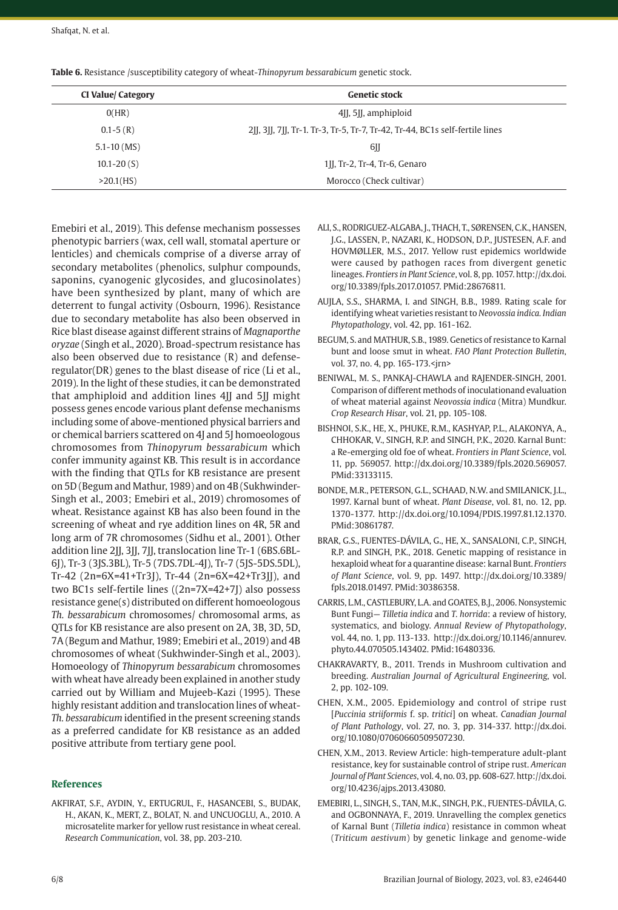| <b>CI Value/ Category</b> | <b>Genetic stock</b>                                                      |
|---------------------------|---------------------------------------------------------------------------|
| O(HR)                     | 4. 5. [J], amphiploid                                                     |
| $0.1 - 5(R)$              | 2], 3], 7], Tr-1. Tr-3, Tr-5, Tr-7, Tr-42, Tr-44, BC1s self-fertile lines |
| $5.1 - 10$ (MS)           | 6JJ                                                                       |
| $10.1 - 20(S)$            | 1II, Tr-2, Tr-4, Tr-6, Genaro                                             |
| >20.1(HS)                 | Morocco (Check cultivar)                                                  |

**Table 6.** Resistance /susceptibility category of wheat-*Thinopyrum bessarabicum* genetic stock.

Emebiri et al., 2019). This defense mechanism possesses phenotypic barriers (wax, cell wall, stomatal aperture or lenticles) and chemicals comprise of a diverse array of secondary metabolites (phenolics, sulphur compounds, saponins, cyanogenic glycosides, and glucosinolates) have been synthesized by plant, many of which are deterrent to fungal activity (Osbourn, 1996). Resistance due to secondary metabolite has also been observed in Rice blast disease against different strains of *Magnaporthe oryzae* (Singh et al., 2020). Broad-spectrum resistance has also been observed due to resistance (R) and defenseregulator(DR) genes to the blast disease of rice (Li et al., 2019). In the light of these studies, it can be demonstrated that amphiploid and addition lines 4II and 5II might possess genes encode various plant defense mechanisms including some of above-mentioned physical barriers and or chemical barriers scattered on 4J and 5J homoeologous chromosomes from *Thinopyrum bessarabicum* which confer immunity against KB. This result is in accordance with the finding that QTLs for KB resistance are present on 5D (Begum and Mathur, 1989) and on 4B (Sukhwinder-Singh et al., 2003; Emebiri et al., 2019) chromosomes of wheat. Resistance against KB has also been found in the screening of wheat and rye addition lines on 4R, 5R and long arm of 7R chromosomes (Sidhu et al., 2001). Other addition line 2JJ, 3JJ, 7JJ, translocation line Tr-1 (6BS.6BL-6J), Tr-3 (3JS.3BL), Tr-5 (7DS.7DL-4J), Tr-7 (5JS-5DS.5DL), Tr-42 (2n=6X=41+Tr3J), Tr-44 (2n=6X=42+Tr3JJ), and two BC1s self-fertile lines ((2n=7X=42+7J) also possess resistance gene(s) distributed on different homoeologous *Th. bessarabicum* chromosomes/ chromosomal arms, as QTLs for KB resistance are also present on 2A, 3B, 3D, 5D, 7A (Begum and Mathur, 1989; Emebiri et al., 2019) and 4B chromosomes of wheat (Sukhwinder-Singh et al., 2003). Homoeology of *Thinopyrum bessarabicum* chromosomes with wheat have already been explained in another study carried out by William and Mujeeb-Kazi (1995). These highly resistant addition and translocation lines of wheat-*Th. bessarabicum* identified in the present screening *s*tands as a preferred candidate for KB resistance as an added positive attribute from tertiary gene pool.

# **References**

AKFIRAT, S.F., AYDIN, Y., ERTUGRUL, F., HASANCEBI, S., BUDAK, H., AKAN, K., MERT, Z., BOLAT, N. and UNCUOGLU, A., 2010. A microsatelite marker for yellow rust resistance in wheat cereal. *Research Communication*, vol. 38, pp. 203-210.

- ALI, S., RODRIGUEZ-ALGABA, J., THACH, T., SØRENSEN, C.K., HANSEN, J.G., LASSEN, P., NAZARI, K., HODSON, D.P., JUSTESEN, A.F. and HOVMØLLER, M.S., 2017. Yellow rust epidemics worldwide were caused by pathogen races from divergent genetic lineages. *Frontiers in Plant Science*, vol. 8, pp. 1057. [http://dx.doi.](https://doi.org/10.3389/fpls.2017.01057) [org/10.3389/fpls.2017.01057](https://doi.org/10.3389/fpls.2017.01057)[. PMid:28676811.](https://www.ncbi.nlm.nih.gov/entrez/query.fcgi?cmd=Retrieve&db=PubMed&list_uids=28676811&dopt=Abstract)
- AUJLA, S.S., SHARMA, I. and SINGH, B.B., 1989. Rating scale for identifying wheat varieties resistant to *Neovossia indica. Indian Phytopathology*, vol. 42, pp. 161-162.
- BEGUM, S. and MATHUR, S.B., 1989. Genetics of resistance to Karnal bunt and loose smut in wheat. *[FAO Plant Protection Bulletin](https://www.cabi.org/isc/search/index?q=do:%22FAO%20Plant%20Protection%20Bulletin%22)*, vol. 37, no. 4, pp. 165-173.<jrn>
- BENIWAL, M. S., PANKAJ-CHAWLA and RAJENDER-SINGH, 2001. Comparison of different methods of inoculationand evaluation of wheat material against *Neovossia indica* (Mitra) Mundkur. *Crop Research Hisar*, vol. 21, pp. 105-108.
- BISHNOI, S.K., HE, X., PHUKE, R.M., KASHYAP, P.L., ALAKONYA, A., CHHOKAR, V., SINGH, R.P. and SINGH, P.K., 2020. Karnal Bunt: a Re-emerging old foe of wheat. *Frontiers in Plant Science*, vol. 11, pp. 569057. [http://dx.doi.org/10.3389/fpls.2020.569057](https://doi.org/10.3389/fpls.2020.569057). [PMid:33133115.](https://www.ncbi.nlm.nih.gov/entrez/query.fcgi?cmd=Retrieve&db=PubMed&list_uids=33133115&dopt=Abstract)
- BONDE, M.R., PETERSON, G.L., SCHAAD, N.W. and SMILANICK, J.L., 1997. Karnal bunt of wheat. *Plant Disease*, vol. 81, no. 12, pp. 1370-1377. [http://dx.doi.org/10.1094/PDIS.1997.81.12.1370](https://doi.org/10.1094/PDIS.1997.81.12.1370). [PMid:30861787.](https://www.ncbi.nlm.nih.gov/entrez/query.fcgi?cmd=Retrieve&db=PubMed&list_uids=30861787&dopt=Abstract)
- BRAR, G.S., FUENTES-DÁVILA, G., HE, X., SANSALONI, C.P., SINGH, R.P. and SINGH, P.K., 2018. Genetic mapping of resistance in hexaploid wheat for a quarantine disease: karnal Bunt. *Frontiers of Plant Science*, vol. 9, pp. 1497. [http://dx.doi.org/10.3389/](https://doi.org/10.3389/fpls.2018.01497) [fpls.2018.01497](https://doi.org/10.3389/fpls.2018.01497)[. PMid:30386358.](https://www.ncbi.nlm.nih.gov/entrez/query.fcgi?cmd=Retrieve&db=PubMed&list_uids=30386358&dopt=Abstract)
- CARRIS, L.M., CASTLEBURY, L.A. and GOATES, B.J., 2006. Nonsystemic Bunt Fungi— *Tilletia indica* and *T. horrida*: a review of history, systematics, and biology. *Annual Review of Phytopathology*, vol. 44, no. 1, pp. 113-133. [http://dx.doi.org/10.1146/annurev.](https://doi.org/10.1146/annurev.phyto.44.070505.143402) [phyto.44.070505.143402.](https://doi.org/10.1146/annurev.phyto.44.070505.143402) [PMid:16480336.](https://www.ncbi.nlm.nih.gov/entrez/query.fcgi?cmd=Retrieve&db=PubMed&list_uids=16480336&dopt=Abstract)
- CHAKRAVARTY, B., 2011. Trends in Mushroom cultivation and breeding. *Australian Journal of Agricultural Engineering*, vol. 2, pp. 102-109.
- CHEN, X.M., 2005. Epidemiology and control of stripe rust [*Puccinia striiformis* f. sp. *tritici*] on wheat. *Canadian Journal of Plant Pathology*, vol. 27, no. 3, pp. 314-337. [http://dx.doi.](https://doi.org/10.1080/07060660509507230) [org/10.1080/07060660509507230](https://doi.org/10.1080/07060660509507230).
- CHEN, X.M., 2013. Review Article: high-temperature adult-plant resistance, key for sustainable control of stripe rust. *American Journal of Plant Sciences*, vol. 4, no. 03, pp. 608-627. [http://dx.doi.](https://doi.org/10.4236/ajps.2013.43080) [org/10.4236/ajps.2013.43080](https://doi.org/10.4236/ajps.2013.43080).
- EMEBIRI, L., SINGH, S., TAN, M.K., SINGH, P.K., FUENTES-DÁVILA, G. and OGBONNAYA, F., 2019. Unravelling the complex genetics of Karnal Bunt (*Tilletia indica*) resistance in common wheat (*Triticum aestivum*) by genetic linkage and genome-wide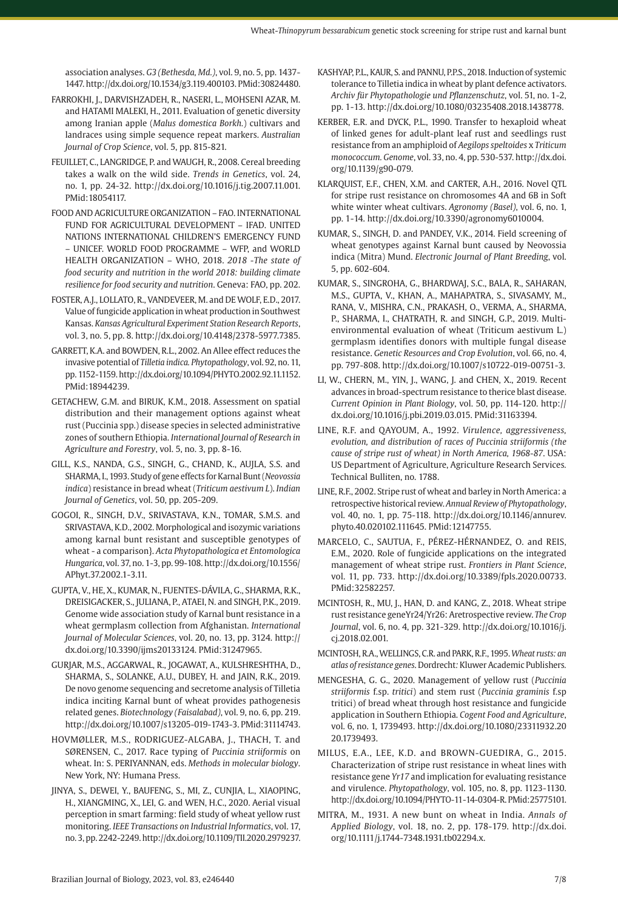association analyses. *G3 (Bethesda, Md.)*, vol. 9, no. 5, pp. 1437- 1447. [http://dx.doi.org/10.1534/g3.119.400103](https://doi.org/10.1534/g3.119.400103)[. PMid:30824480.](https://www.ncbi.nlm.nih.gov/entrez/query.fcgi?cmd=Retrieve&db=PubMed&list_uids=30824480&dopt=Abstract)

- FARROKHI, J., DARVISHZADEH, R., NASERI, L., MOHSENI AZAR, M. and HATAMI MALEKI, H., 2011. Evaluation of genetic diversity among Iranian apple (*Malus domestica Borkh.*) cultivars and landraces using simple sequence repeat markers. *Australian Journal of Crop Science*, vol. 5, pp. 815-821.
- FEUILLET, C., LANGRIDGE, P. and WAUGH, R., 2008. Cereal breeding takes a walk on the wild side. *Trends in Genetics*, vol. 24, no. 1, pp. 24-32. [http://dx.doi.org/10.1016/j.tig.2007.11.001](https://doi.org/10.1016/j.tig.2007.11.001). [PMid:18054117.](https://www.ncbi.nlm.nih.gov/entrez/query.fcgi?cmd=Retrieve&db=PubMed&list_uids=18054117&dopt=Abstract)
- FOOD AND AGRICULTURE ORGANIZATION FAO. INTERNATIONAL FUND FOR AGRICULTURAL DEVELOPMENT – IFAD. UNITED NATIONS INTERNATIONAL CHILDREN'S EMERGENCY FUND – UNICEF. WORLD FOOD PROGRAMME – WFP, and WORLD HEALTH ORGANIZATION – WHO, 2018. *2018 -The state of food security and nutrition in the world 2018: building climate resilience for food security and nutrition*. Geneva: FAO, pp. 202.
- FOSTER, A.J., LOLLATO, R., VANDEVEER, M. and DE WOLF, E.D., 2017. Value of fungicide application in wheat production in Southwest Kansas. *Kansas Agricultural Experiment Station Research Reports*, vol. 3, no. 5, pp. 8. [http://dx.doi.org/10.4148/2378-5977.7385](https://doi.org/10.4148/2378-5977.7385).
- GARRETT, K.A. and BOWDEN, R.L., 2002. An Allee effect reduces the invasive potential of *Tilletia indica. Phytopathology*, vol. 92, no. 11, pp. 1152-1159. [http://dx.doi.org/10.1094/PHYTO.2002.92.11.1152](https://doi.org/10.1094/PHYTO.2002.92.11.1152). [PMid:18944239.](https://www.ncbi.nlm.nih.gov/entrez/query.fcgi?cmd=Retrieve&db=PubMed&list_uids=18944239&dopt=Abstract)
- GETACHEW, G.M. and BIRUK, K.M., 2018. Assessment on spatial distribution and their management options against wheat rust (Puccinia spp.) disease species in selected administrative zones of southern Ethiopia. *International Journal of Research in Agriculture and Forestry*, vol. 5, no. 3, pp. 8-16.
- GILL, K.S., NANDA, G.S., SINGH, G., CHAND, K., AUJLA, S.S. and SHARMA, I., 1993. Study of gene effects for Karnal Bunt (*Neovossia indica*) resistance in bread wheat (*Triticum aestivum L*). *Indian Journal of Genetics*, vol. 50, pp. 205-209.
- GOGOI, R., SINGH, D.V., SRIVASTAVA, K.N., TOMAR, S.M.S. and SRIVASTAVA, K.D., 2002. Morphological and isozymic variations among karnal bunt resistant and susceptible genotypes of wheat - a comparison}. *Acta Phytopathologica et Entomologica Hungarica*, vol. 37, no. 1-3, pp. 99-108. [http://dx.doi.org/10.1556/](https://doi.org/10.1556/APhyt.37.2002.1-3.11) [APhyt.37.2002.1-3.11.](https://doi.org/10.1556/APhyt.37.2002.1-3.11)
- GUPTA, V., HE, X., KUMAR, N., FUENTES-DÁVILA, G., SHARMA, R.K., DREISIGACKER, S., JULIANA, P., ATAEI, N. and SINGH, P.K., 2019. Genome wide association study of Karnal bunt resistance in a wheat germplasm collection from Afghanistan. *International Journal of Molecular Sciences*, vol. 20, no. 13, pp. 3124. [http://](https://doi.org/10.3390/ijms20133124) [dx.doi.org/10.3390/ijms20133124](https://doi.org/10.3390/ijms20133124)[. PMid:31247965.](https://www.ncbi.nlm.nih.gov/entrez/query.fcgi?cmd=Retrieve&db=PubMed&list_uids=31247965&dopt=Abstract)
- GURJAR, M.S., AGGARWAL, R., JOGAWAT, A., KULSHRESHTHA, D., SHARMA, S., SOLANKE, A.U., DUBEY, H. and JAIN, R.K., 2019. De novo genome sequencing and secretome analysis of Tilletia indica inciting Karnal bunt of wheat provides pathogenesis related genes. *Biotechnology (Faisalabad)*, vol. 9, no. 6, pp. 219. http://dx.doi.org/10.1007/s13205-019-1743-3. [PMid:31114743.](https://www.ncbi.nlm.nih.gov/entrez/query.fcgi?cmd=Retrieve&db=PubMed&list_uids=31114743&dopt=Abstract)
- HOVMØLLER, M.S., RODRIGUEZ-ALGABA, J., THACH, T. and SØRENSEN, C., 2017. Race typing of *Puccinia striiformis* on wheat. In: S. PERIYANNAN, eds. *Methods in molecular biology*. New York, NY: Humana Press.
- JINYA, S., DEWEI, Y., BAUFENG, S., MI, Z., CUNJIA, L., XIAOPING, H., XIANGMING, X., LEI, G. and WEN, H.C., 2020. Aerial visual perception in smart farming: field study of wheat yellow rust monitoring. *IEEE Transactions on Industrial Informatics*, vol. 17, no. 3, pp. 2242-2249. http://dx.doi.org/10.1109/TII.2020.2979237.
- KASHYAP, P.L., KAUR, S. and PANNU, P.P.S., 2018. Induction of systemic tolerance to Tilletia indica in wheat by plant defence activators. *Archiv für Phytopathologie und Pflanzenschutz*, vol. 51, no. 1-2, pp. 1-13. [http://dx.doi.org/10.1080/03235408.2018.1438778.](https://doi.org/10.1080/03235408.2018.1438778)
- KERBER, E.R. and DYCK, P.L., 1990. Transfer to hexaploid wheat of linked genes for adult-plant leaf rust and seedlings rust resistance from an amphiploid of *Aegilops speltoides* x *Triticum monococcum. Genome*, vol. 33, no. 4, pp. 530-537. [http://dx.doi.](https://doi.org/10.1139/g90-079) [org/10.1139/g90-079.](https://doi.org/10.1139/g90-079)
- KLARQUIST, E.F., CHEN, X.M. and CARTER, A.H., 2016. Novel QTL for stripe rust resistance on chromosomes 4A and 6B in Soft white winter wheat cultivars. *Agronomy (Basel)*, vol. 6, no. 1, pp. 1-14. [http://dx.doi.org/10.3390/agronomy6010004](https://doi.org/10.3390/agronomy6010004).
- KUMAR, S., SINGH, D. and PANDEY, V.K., 2014. Field screening of wheat genotypes against Karnal bunt caused by Neovossia indica (Mitra) Mund. *Electronic Journal of Plant Breeding*, vol. 5, pp. 602-604.
- KUMAR, S., SINGROHA, G., BHARDWAJ, S.C., BALA, R., SAHARAN, M.S., GUPTA, V., KHAN, A., MAHAPATRA, S., SIVASAMY, M., RANA, V., MISHRA, C.N., PRAKASH, O., VERMA, A., SHARMA, P., SHARMA, I., CHATRATH, R. and SINGH, G.P., 2019. Multienvironmental evaluation of wheat (Triticum aestivum L.) germplasm identifies donors with multiple fungal disease resistance. *Genetic Resources and Crop Evolution*, vol. 66, no. 4, pp. 797-808. [http://dx.doi.org/10.1007/s10722-019-00751-3](https://doi.org/10.1007/s10722-019-00751-3).
- LI, W., CHERN, M., YIN, J., WANG, J. and CHEN, X., 2019. Recent advances in broad-spectrum resistance to therice blast disease. *Current Opinion in Plant Biology*, vol. 50, pp. 114-120. [http://](https://doi.org/10.1016/j.pbi.2019.03.015) [dx.doi.org/10.1016/j.pbi.2019.03.015](https://doi.org/10.1016/j.pbi.2019.03.015)[. PMid:31163394.](https://www.ncbi.nlm.nih.gov/entrez/query.fcgi?cmd=Retrieve&db=PubMed&list_uids=31163394&dopt=Abstract)
- LINE, R.F. and QAYOUM, A., 1992. *Virulence, aggressiveness, evolution, and distribution of races of Puccinia striiformis (the cause of stripe rust of wheat) in North America, 1968-87*. USA: US Department of Agriculture, Agriculture Research Services*.* Technical Bulliten, no. 1788.
- LINE, R.F., 2002. Stripe rust of wheat and barley in North America: a retrospective historical review. *Annual Review of Phytopathology*, vol. 40, no. 1, pp. 75-118. [http://dx.doi.org/10.1146/annurev.](https://doi.org/10.1146/annurev.phyto.40.020102.111645) [phyto.40.020102.111645.](https://doi.org/10.1146/annurev.phyto.40.020102.111645) [PMid:12147755.](https://www.ncbi.nlm.nih.gov/entrez/query.fcgi?cmd=Retrieve&db=PubMed&list_uids=12147755&dopt=Abstract)
- MARCELO, C., SAUTUA, F., PÉREZ-HÉRNANDEZ, O. and REIS, E.M., 2020. Role of fungicide applications on the integrated management of wheat stripe rust. *Frontiers in Plant Science*, vol. 11, pp. 733. [http://dx.doi.org/10.3389/fpls.2020.00733](https://doi.org/10.3389/fpls.2020.00733). [PMid:32582257.](https://www.ncbi.nlm.nih.gov/entrez/query.fcgi?cmd=Retrieve&db=PubMed&list_uids=32582257&dopt=Abstract)
- MCINTOSH, R., MU, J., HAN, D. and KANG, Z., 2018. Wheat stripe rust resistance geneYr24/Yr26: Aretrospective review. *The Crop Journal*, vol. 6, no. 4, pp. 321-329. [http://dx.doi.org/10.1016/j.](https://doi.org/10.1016/j.cj.2018.02.001) [cj.2018.02.001](https://doi.org/10.1016/j.cj.2018.02.001).
- MCINTOSH, R.A., WELLINGS, C.R. and PARK, R.F., 1995. *Wheat rusts: an atlas of resistance genes*. Dordrecht*:* Kluwer Academic Publishers*.*
- MENGESHA, G. G., 2020. Management of yellow rust (*Puccinia striiformis* f.sp. *tritici*) and stem rust (*Puccinia graminis* f.sp tritici) of bread wheat through host resistance and fungicide application in Southern Ethiopia. *Cogent Food and Agriculture*, vol. 6, no. 1, 1739493. http://dx.doi.org/10.1080/23311932.20 20.1739493.
- MILUS, E.A., LEE, K.D. and BROWN-GUEDIRA, G., 2015. Characterization of stripe rust resistance in wheat lines with resistance gene *Yr17* and implication for evaluating resistance and virulence. *Phytopathology*, vol. 105, no. 8, pp. 1123-1130. [http://dx.doi.org/10.1094/PHYTO-11-14-0304-R](https://doi.org/10.1094/PHYTO-11-14-0304-R)[. PMid:25775101.](https://www.ncbi.nlm.nih.gov/entrez/query.fcgi?cmd=Retrieve&db=PubMed&list_uids=25775101&dopt=Abstract)
- MITRA, M., 1931. A new bunt on wheat in India. *Annals of Applied Biology*, vol. 18, no. 2, pp. 178-179. [http://dx.doi.](https://doi.org/10.1111/j.1744-7348.1931.tb02294.x) [org/10.1111/j.1744-7348.1931.tb02294.x](https://doi.org/10.1111/j.1744-7348.1931.tb02294.x).